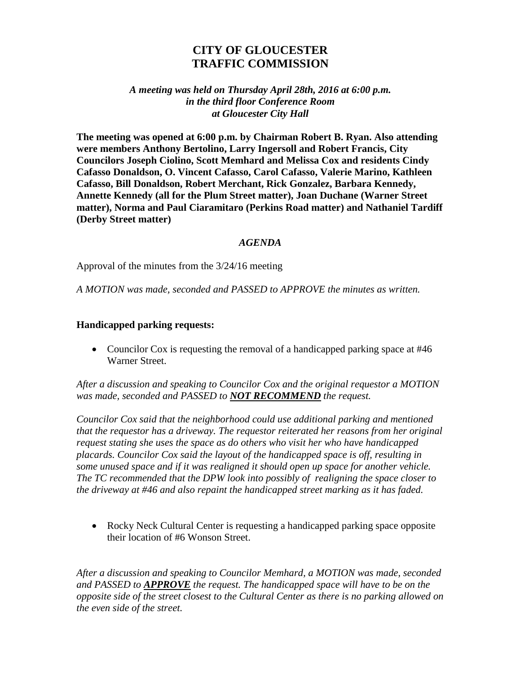## **CITY OF GLOUCESTER TRAFFIC COMMISSION**

## *A meeting was held on Thursday April 28th, 2016 at 6:00 p.m. in the third floor Conference Room at Gloucester City Hall*

**The meeting was opened at 6:00 p.m. by Chairman Robert B. Ryan. Also attending were members Anthony Bertolino, Larry Ingersoll and Robert Francis, City Councilors Joseph Ciolino, Scott Memhard and Melissa Cox and residents Cindy Cafasso Donaldson, O. Vincent Cafasso, Carol Cafasso, Valerie Marino, Kathleen Cafasso, Bill Donaldson, Robert Merchant, Rick Gonzalez, Barbara Kennedy, Annette Kennedy (all for the Plum Street matter), Joan Duchane (Warner Street matter), Norma and Paul Ciaramitaro (Perkins Road matter) and Nathaniel Tardiff (Derby Street matter)**

## *AGENDA*

Approval of the minutes from the 3/24/16 meeting

*A MOTION was made, seconded and PASSED to APPROVE the minutes as written.*

## **Handicapped parking requests:**

• Councilor Cox is requesting the removal of a handicapped parking space at #46 Warner Street.

*After a discussion and speaking to Councilor Cox and the original requestor a MOTION was made, seconded and PASSED to NOT RECOMMEND the request.*

*Councilor Cox said that the neighborhood could use additional parking and mentioned that the requestor has a driveway. The requestor reiterated her reasons from her original request stating she uses the space as do others who visit her who have handicapped placards. Councilor Cox said the layout of the handicapped space is off, resulting in some unused space and if it was realigned it should open up space for another vehicle. The TC recommended that the DPW look into possibly of realigning the space closer to the driveway at #46 and also repaint the handicapped street marking as it has faded.* 

• Rocky Neck Cultural Center is requesting a handicapped parking space opposite their location of #6 Wonson Street.

*After a discussion and speaking to Councilor Memhard, a MOTION was made, seconded and PASSED to APPROVE the request. The handicapped space will have to be on the opposite side of the street closest to the Cultural Center as there is no parking allowed on the even side of the street.*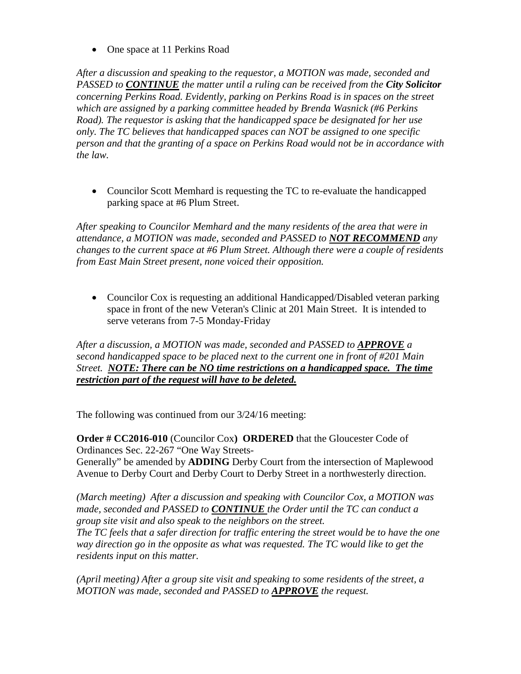• One space at 11 Perkins Road

*After a discussion and speaking to the requestor, a MOTION was made, seconded and PASSED to CONTINUE the matter until a ruling can be received from the City Solicitor concerning Perkins Road. Evidently, parking on Perkins Road is in spaces on the street which are assigned by a parking committee headed by Brenda Wasnick (#6 Perkins Road). The requestor is asking that the handicapped space be designated for her use only. The TC believes that handicapped spaces can NOT be assigned to one specific person and that the granting of a space on Perkins Road would not be in accordance with the law.* 

• Councilor Scott Memhard is requesting the TC to re-evaluate the handicapped parking space at #6 Plum Street.

*After speaking to Councilor Memhard and the many residents of the area that were in attendance, a MOTION was made, seconded and PASSED to NOT RECOMMEND any changes to the current space at #6 Plum Street. Although there were a couple of residents from East Main Street present, none voiced their opposition.* 

• Councilor Cox is requesting an additional Handicapped/Disabled veteran parking space in front of the new Veteran's Clinic at 201 Main Street. It is intended to serve veterans from 7-5 Monday-Friday

*After a discussion, a MOTION was made, seconded and PASSED to APPROVE a second handicapped space to be placed next to the current one in front of #201 Main Street. NOTE: There can be NO time restrictions on a handicapped space. The time restriction part of the request will have to be deleted.*

The following was continued from our 3/24/16 meeting:

**Order # CC2016-010** (Councilor Cox**) ORDERED** that the Gloucester Code of Ordinances Sec. 22-267 "One Way Streets-Generally" be amended by **ADDING** Derby Court from the intersection of Maplewood

Avenue to Derby Court and Derby Court to Derby Street in a northwesterly direction.

*(March meeting) After a discussion and speaking with Councilor Cox, a MOTION was made, seconded and PASSED to CONTINUE the Order until the TC can conduct a group site visit and also speak to the neighbors on the street. The TC feels that a safer direction for traffic entering the street would be to have the one way direction go in the opposite as what was requested. The TC would like to get the residents input on this matter.*

*(April meeting) After a group site visit and speaking to some residents of the street, a MOTION was made, seconded and PASSED to APPROVE the request.*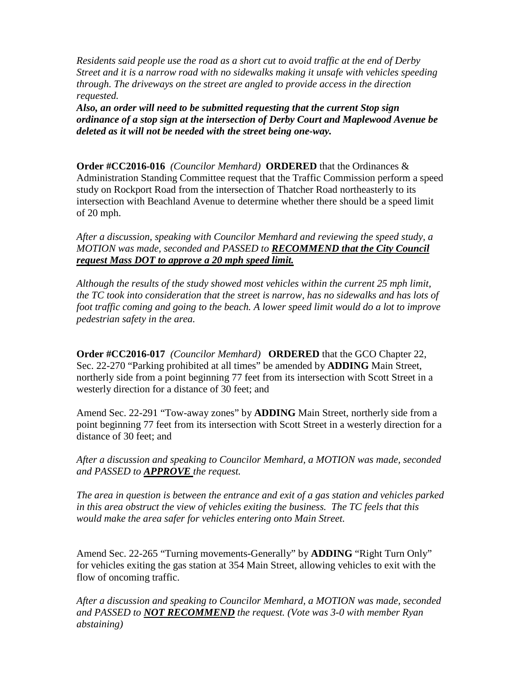*Residents said people use the road as a short cut to avoid traffic at the end of Derby Street and it is a narrow road with no sidewalks making it unsafe with vehicles speeding through. The driveways on the street are angled to provide access in the direction requested.*

*Also, an order will need to be submitted requesting that the current Stop sign ordinance of a stop sign at the intersection of Derby Court and Maplewood Avenue be deleted as it will not be needed with the street being one-way.* 

**Order #CC2016-016** *(Councilor Memhard)* **ORDERED** that the Ordinances & Administration Standing Committee request that the Traffic Commission perform a speed study on Rockport Road from the intersection of Thatcher Road northeasterly to its intersection with Beachland Avenue to determine whether there should be a speed limit of 20 mph.

*After a discussion, speaking with Councilor Memhard and reviewing the speed study, a MOTION was made, seconded and PASSED to RECOMMEND that the City Council request Mass DOT to approve a 20 mph speed limit.*

*Although the results of the study showed most vehicles within the current 25 mph limit, the TC took into consideration that the street is narrow, has no sidewalks and has lots of foot traffic coming and going to the beach. A lower speed limit would do a lot to improve pedestrian safety in the area.*

**Order #CC2016-017** *(Councilor Memhard)* **ORDERED** that the GCO Chapter 22, Sec. 22-270 "Parking prohibited at all times" be amended by **ADDING** Main Street, northerly side from a point beginning 77 feet from its intersection with Scott Street in a westerly direction for a distance of 30 feet; and

Amend Sec. 22-291 "Tow-away zones" by **ADDING** Main Street, northerly side from a point beginning 77 feet from its intersection with Scott Street in a westerly direction for a distance of 30 feet; and

*After a discussion and speaking to Councilor Memhard, a MOTION was made, seconded and PASSED to APPROVE the request.*

*The area in question is between the entrance and exit of a gas station and vehicles parked in this area obstruct the view of vehicles exiting the business. The TC feels that this would make the area safer for vehicles entering onto Main Street.*

Amend Sec. 22-265 "Turning movements-Generally" by **ADDING** "Right Turn Only" for vehicles exiting the gas station at 354 Main Street, allowing vehicles to exit with the flow of oncoming traffic.

*After a discussion and speaking to Councilor Memhard, a MOTION was made, seconded and PASSED to NOT RECOMMEND the request. (Vote was 3-0 with member Ryan abstaining)*